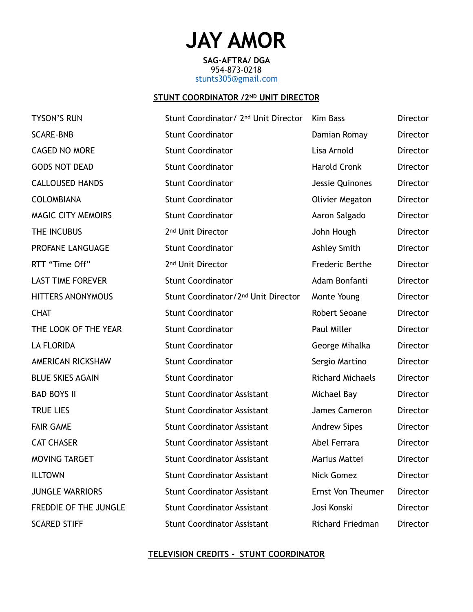# **JAY AMOR**

**SAG-AFTRA/ DGA** 954-873-0218 [stunts305@gmail.com](mailto:stunts305@gmail.com)

## **STUNT COORDINATOR / 2ND UNIT DIRECTOR**

| <b>TYSON'S RUN</b>        | Stunt Coordinator/ 2 <sup>nd</sup> Unit Director | <b>Kim Bass</b>         | Director        |
|---------------------------|--------------------------------------------------|-------------------------|-----------------|
| <b>SCARE-BNB</b>          | <b>Stunt Coordinator</b>                         | Damian Romay            | Director        |
| <b>CAGED NO MORE</b>      | <b>Stunt Coordinator</b>                         | Lisa Arnold             | Director        |
| <b>GODS NOT DEAD</b>      | <b>Stunt Coordinator</b>                         | <b>Harold Cronk</b>     | Director        |
| <b>CALLOUSED HANDS</b>    | <b>Stunt Coordinator</b>                         | Jessie Quinones         | Director        |
| <b>COLOMBIANA</b>         | <b>Stunt Coordinator</b>                         | <b>Olivier Megaton</b>  | Director        |
| <b>MAGIC CITY MEMOIRS</b> | <b>Stunt Coordinator</b>                         | Aaron Salgado           | Director        |
| THE INCUBUS               | 2 <sup>nd</sup> Unit Director                    | John Hough              | Director        |
| PROFANE LANGUAGE          | <b>Stunt Coordinator</b>                         | Ashley Smith            | Director        |
| RTT "Time Off"            | 2 <sup>nd</sup> Unit Director                    | Frederic Berthe         | Director        |
| <b>LAST TIME FOREVER</b>  | <b>Stunt Coordinator</b>                         | Adam Bonfanti           | Director        |
| <b>HITTERS ANONYMOUS</b>  | Stunt Coordinator/2 <sup>nd</sup> Unit Director  | Monte Young             | Director        |
| <b>CHAT</b>               | <b>Stunt Coordinator</b>                         | Robert Seoane           | Director        |
| THE LOOK OF THE YEAR      | <b>Stunt Coordinator</b>                         | Paul Miller             | Director        |
| <b>LA FLORIDA</b>         | <b>Stunt Coordinator</b>                         | George Mihalka          | Director        |
| AMERICAN RICKSHAW         | <b>Stunt Coordinator</b>                         | Sergio Martino          | Director        |
| <b>BLUE SKIES AGAIN</b>   | <b>Stunt Coordinator</b>                         | <b>Richard Michaels</b> | <b>Director</b> |
| <b>BAD BOYS II</b>        | <b>Stunt Coordinator Assistant</b>               | Michael Bay             | Director        |
| <b>TRUE LIES</b>          | <b>Stunt Coordinator Assistant</b>               | James Cameron           | Director        |
| <b>FAIR GAME</b>          | <b>Stunt Coordinator Assistant</b>               | <b>Andrew Sipes</b>     | <b>Director</b> |
| <b>CAT CHASER</b>         | <b>Stunt Coordinator Assistant</b>               | Abel Ferrara            | <b>Director</b> |
| MOVING TARGET             | <b>Stunt Coordinator Assistant</b>               | Marius Mattei           | Director        |
| <b>ILLTOWN</b>            | <b>Stunt Coordinator Assistant</b>               | Nick Gomez              | Director        |
| <b>JUNGLE WARRIORS</b>    | <b>Stunt Coordinator Assistant</b>               | Ernst Von Theumer       | Director        |
| FREDDIE OF THE JUNGLE     | <b>Stunt Coordinator Assistant</b>               | Josi Konski             | <b>Director</b> |
| <b>SCARED STIFF</b>       | <b>Stunt Coordinator Assistant</b>               | <b>Richard Friedman</b> | Director        |

## **TELEVISION CREDITS - STUNT COORDINATOR**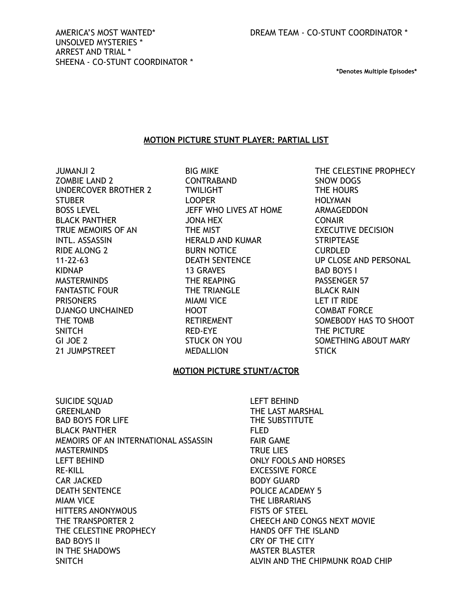**\*Denotes Multiple Episodes\*** 

## **MOTION PICTURE STUNT PLAYER: PARTIAL LIST**

JUMANJI 2 ZOMBIE LAND 2 UNDERCOVER BROTHER 2 **STUBER** BOSS LEVEL BLACK PANTHER TRUE MEMOIRS OF AN INTL. ASSASSIN RIDE ALONG 2 11-22-63 KIDNAP **MASTERMINDS** FANTASTIC FOUR **PRISONERS** DJANGO UNCHAINED THE TOMB SNITCH GI JOE 2 21 JUMPSTREET

BIG MIKE CONTRABAND TWILIGHT LOOPER JEFF WHO LIVES AT HOME JONA HEX THE MIST HERALD AND KUMAR BURN NOTICE DEATH SENTENCE 13 GRAVES THE REAPING THE TRIANGLE MIAMI VICE HOOT RETIREMENT RED-EYE STUCK ON YOU MEDALLION

THE CELESTINE PROPHECY SNOW DOGS THE HOURS HOLYMAN ARMAGEDDON CONAIR EXECUTIVE DECISION **STRIPTEASE** CURDLED UP CLOSE AND PERSONAL BAD BOYS I PASSENGER 57 BLACK RAIN LET IT RIDE COMBAT FORCE SOMEBODY HAS TO SHOOT THE PICTURE SOMETHING ABOUT MARY STICK

## **MOTION PICTURE STUNT/ACTOR**

SUICIDE SQUAD GREENLAND BAD BOYS FOR LIFE BLACK PANTHER MEMOIRS OF AN INTERNATIONAL ASSASSIN MASTERMINDS LEFT BEHIND RE-KILL CAR JACKED DEATH SENTENCE MIAM VICE HITTERS ANONYMOUS THE TRANSPORTER 2 THE CELESTINE PROPHECY BAD BOYS II IN THE SHADOWS SNITCH

LEFT BEHIND THE LAST MARSHAL THE SUBSTITUTE FLED FAIR GAME TRUE LIES ONLY FOOLS AND HORSES EXCESSIVE FORCE BODY GUARD POLICE ACADEMY 5 THE LIBRARIANS FISTS OF STEEL CHEECH AND CONGS NEXT MOVIE HANDS OFF THE ISLAND CRY OF THE CITY MASTER BLASTER ALVIN AND THE CHIPMUNK ROAD CHIP